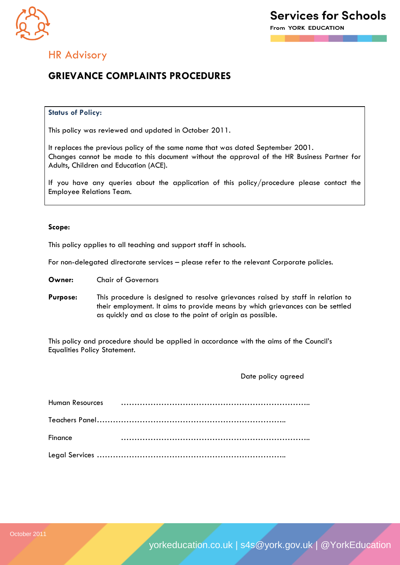

### HR Advisory

### **GRIEVANCE COMPLAINTS PROCEDURES**

### **Status of Policy:**

This policy was reviewed and updated in October 2011.

It replaces the previous policy of the same name that was dated September 2001. Changes cannot be made to this document without the approval of the HR Business Partner for Adults, Children and Education (ACE).

If you have any queries about the application of this policy/procedure please contact the Employee Relations Team.

### **Scope:**

This policy applies to all teaching and support staff in schools.

For non-delegated directorate services – please refer to the relevant Corporate policies.

**Owner:** Chair of Governors

**Purpose:** This procedure is designed to resolve grievances raised by staff in relation to their employment. It aims to provide means by which grievances can be settled as quickly and as close to the point of origin as possible.

This policy and procedure should be applied in accordance with the aims of the Council's Equalities Policy Statement.

Date policy agreed

| Finance |  |
|---------|--|
|         |  |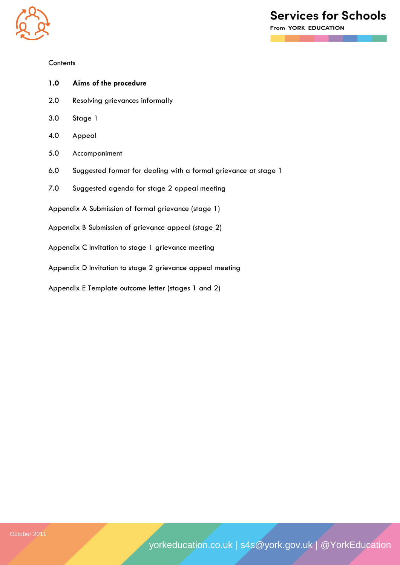

### **Contents**

- **1.0 Aims of the procedure**
- 2.0 Resolving grievances informally
- 3.0 Stage 1
- 4.0 Appeal
- 5.0 Accompaniment
- 6.0 Suggested format for dealing with a formal grievance at stage 1
- 7.0 Suggested agenda for stage 2 appeal meeting
- Appendix A Submission of formal grievance (stage 1)
- Appendix B Submission of grievance appeal (stage 2)
- Appendix C Invitation to stage 1 grievance meeting
- Appendix D Invitation to stage 2 grievance appeal meeting
- Appendix E Template outcome letter (stages 1 and 2)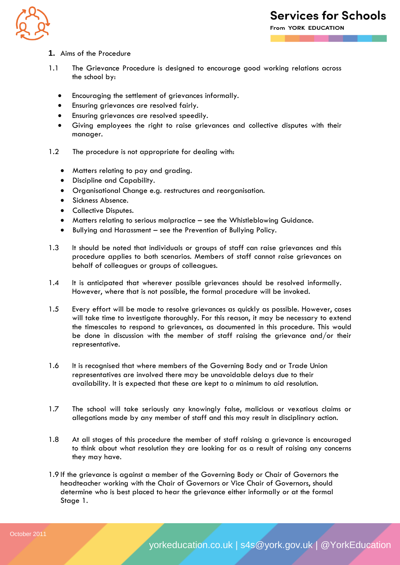

**From YORK EDUCATION** 

- **1.** Aims of the Procedure
- 1.1 The Grievance Procedure is designed to encourage good working relations across the school by:
	- Encouraging the settlement of grievances informally.
	- Ensuring grievances are resolved fairly.
	- Ensuring grievances are resolved speedily.
	- Giving employees the right to raise grievances and collective disputes with their manager.
- 1.2 The procedure is not appropriate for dealing with:
	- Matters relating to pay and grading.
	- Discipline and Capability.
	- Organisational Change e.g. restructures and reorganisation.
	- Sickness Absence.
	- Collective Disputes.
	- Matters relating to serious malpractice see the Whistleblowing Guidance.
	- Bullying and Harassment see the Prevention of Bullying Policy.
- 1.3 It should be noted that individuals or groups of staff can raise grievances and this procedure applies to both scenarios. Members of staff cannot raise grievances on behalf of colleagues or groups of colleagues.
- 1.4 It is anticipated that wherever possible grievances should be resolved informally. However, where that is not possible, the formal procedure will be invoked.
- 1.5 Every effort will be made to resolve grievances as quickly as possible. However, cases will take time to investigate thoroughly. For this reason, it may be necessary to extend the timescales to respond to grievances, as documented in this procedure. This would be done in discussion with the member of staff raising the grievance and/or their representative.
- 1.6 It is recognised that where members of the Governing Body and or Trade Union representatives are involved there may be unavoidable delays due to their availability. It is expected that these are kept to a minimum to aid resolution.
- 1.7 The school will take seriously any knowingly false, malicious or vexatious claims or allegations made by any member of staff and this may result in disciplinary action.
- 1.8 At all stages of this procedure the member of staff raising a grievance is encouraged to think about what resolution they are looking for as a result of raising any concerns they may have.
- 1.9 If the grievance is against a member of the Governing Body or Chair of Governors the headteacher working with the Chair of Governors or Vice Chair of Governors, should determine who is best placed to hear the grievance either informally or at the formal Stage 1.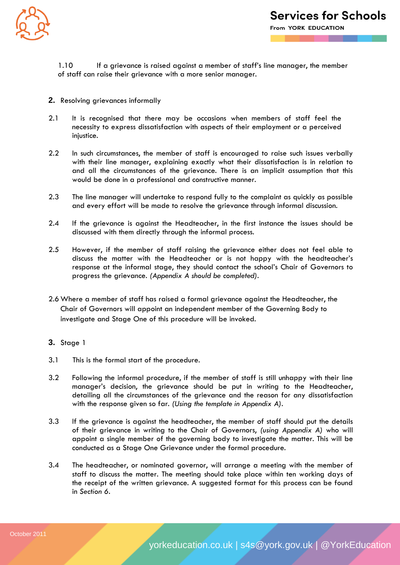

1.10 If a grievance is raised against a member of staff's line manager, the member of staff can raise their grievance with a more senior manager.

- **2.** Resolving grievances informally
- 2.1 It is recognised that there may be occasions when members of staff feel the necessity to express dissatisfaction with aspects of their employment or a perceived injustice.
- 2.2 In such circumstances, the member of staff is encouraged to raise such issues verbally with their line manager, explaining exactly what their dissatisfaction is in relation to and all the circumstances of the grievance. There is an implicit assumption that this would be done in a professional and constructive manner.
- 2.3 The line manager will undertake to respond fully to the complaint as quickly as possible and every effort will be made to resolve the grievance through informal discussion.
- 2.4 If the grievance is against the Headteacher, in the first instance the issues should be discussed with them directly through the informal process.
- 2.5 However, if the member of staff raising the grievance either does not feel able to discuss the matter with the Headteacher or is not happy with the headteacher's response at the informal stage, they should contact the school's Chair of Governors to progress the grievance. *(Appendix A should be completed)*.
- 2.6 Where a member of staff has raised a formal grievance against the Headteacher, the Chair of Governors will appoint an independent member of the Governing Body to investigate and Stage One of this procedure will be invoked.
- **3.** Stage 1
- 3.1 This is the formal start of the procedure.
- 3.2 Following the informal procedure, if the member of staff is still unhappy with their line manager's decision, the grievance should be put in writing to the Headteacher, detailing all the circumstances of the grievance and the reason for any dissatisfaction with the response given so far. *(Using the template in Appendix A)*.
- 3.3 If the grievance is against the headteacher, the member of staff should put the details of their grievance in writing to the Chair of Governors, *(using Appendix A)* who will appoint a single member of the governing body to investigate the matter. This will be conducted as a Stage One Grievance under the formal procedure.
- 3.4 The headteacher, or nominated governor, will arrange a meeting with the member of staff to discuss the matter. The meeting should take place within ten working days of the receipt of the written grievance. A suggested format for this process can be found in *Section 6*.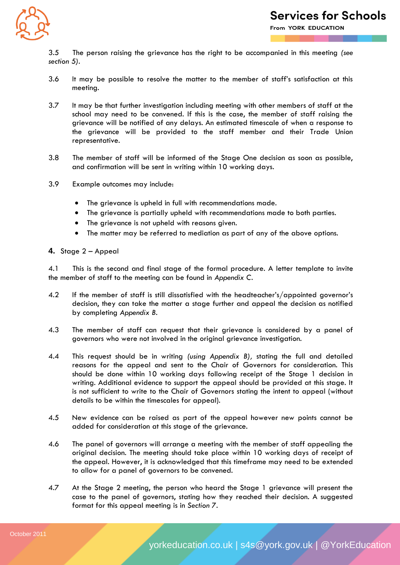

3.5 The person raising the grievance has the right to be accompanied in this meeting *(see section 5).*

- 3.6 It may be possible to resolve the matter to the member of staff's satisfaction at this meeting.
- 3.7 It may be that further investigation including meeting with other members of staff at the school may need to be convened. If this is the case, the member of staff raising the grievance will be notified of any delays. An estimated timescale of when a response to the grievance will be provided to the staff member and their Trade Union representative.
- 3.8 The member of staff will be informed of the Stage One decision as soon as possible, and confirmation will be sent in writing within 10 working days.
- 3.9 Example outcomes may include:
	- The grievance is upheld in full with recommendations made.
	- The grievance is partially upheld with recommendations made to both parties.
	- The grievance is not upheld with reasons given.
	- The matter may be referred to mediation as part of any of the above options.
- **4.** Stage 2 Appeal

4.1 This is the second and final stage of the formal procedure. A letter template to invite the member of staff to the meeting can be found in *Appendix C*.

- 4.2 If the member of staff is still dissatisfied with the headteacher's/appointed governor's decision, they can take the matter a stage further and appeal the decision as notified by completing *Appendix B*.
- 4.3 The member of staff can request that their grievance is considered by a panel of governors who were not involved in the original grievance investigation.
- 4.4 This request should be in writing *(using Appendix B),* stating the full and detailed reasons for the appeal and sent to the Chair of Governors for consideration. This should be done within 10 working days following receipt of the Stage 1 decision in writing. Additional evidence to support the appeal should be provided at this stage. It is not sufficient to write to the Chair of Governors stating the intent to appeal (without details to be within the timescales for appeal).
- 4.5 New evidence can be raised as part of the appeal however new points cannot be added for consideration at this stage of the grievance.
- 4.6 The panel of governors will arrange a meeting with the member of staff appealing the original decision. The meeting should take place within 10 working days of receipt of the appeal. However, it is acknowledged that this timeframe may need to be extended to allow for a panel of governors to be convened.
- 4.7 At the Stage 2 meeting, the person who heard the Stage 1 grievance will present the case to the panel of governors, stating how they reached their decision. A suggested format for this appeal meeting is in *Section 7*.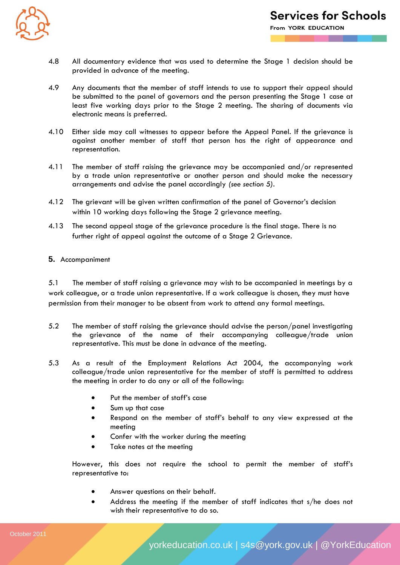

- 4.8 All documentary evidence that was used to determine the Stage 1 decision should be provided in advance of the meeting.
- 4.9 Any documents that the member of staff intends to use to support their appeal should be submitted to the panel of governors and the person presenting the Stage 1 case at least five working days prior to the Stage 2 meeting. The sharing of documents via electronic means is preferred.
- 4.10 Either side may call witnesses to appear before the Appeal Panel. If the grievance is against another member of staff that person has the right of appearance and representation.
- 4.11 The member of staff raising the grievance may be accompanied and/or represented by a trade union representative or another person and should make the necessary arrangements and advise the panel accordingly *(see section 5)*.
- 4.12 The grievant will be given written confirmation of the panel of Governor's decision within 10 working days following the Stage 2 grievance meeting.
- 4.13 The second appeal stage of the grievance procedure is the final stage. There is no further right of appeal against the outcome of a Stage 2 Grievance.

### **5.** Accompaniment

5.1 The member of staff raising a grievance may wish to be accompanied in meetings by a work colleague, or a trade union representative. If a work colleague is chosen, they must have permission from their manager to be absent from work to attend any formal meetings.

- 5.2 The member of staff raising the grievance should advise the person/panel investigating the grievance of the name of their accompanying colleague/trade union representative. This must be done in advance of the meeting.
- 5.3 As a result of the Employment Relations Act 2004, the accompanying work colleague/trade union representative for the member of staff is permitted to address the meeting in order to do any or all of the following:
	- Put the member of staff's case
	- Sum up that case
	- Respond on the member of staff's behalf to any view expressed at the meeting
	- Confer with the worker during the meeting
	- Take notes at the meeting

However, this does not require the school to permit the member of staff's representative to:

- Answer questions on their behalf.
- Address the meeting if the member of staff indicates that s/he does not wish their representative to do so.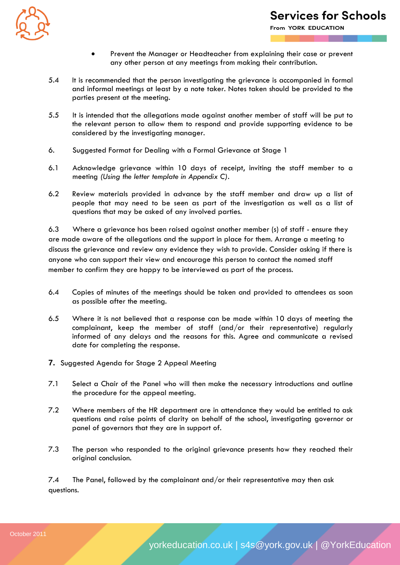

From YORK EDUCATION

- Prevent the Manager or Headteacher from explaining their case or prevent any other person at any meetings from making their contribution.
- 5.4 It is recommended that the person investigating the grievance is accompanied in formal and informal meetings at least by a note taker. Notes taken should be provided to the parties present at the meeting.
- 5.5 It is intended that the allegations made against another member of staff will be put to the relevant person to allow them to respond and provide supporting evidence to be considered by the investigating manager.
- 6. Suggested Format for Dealing with a Formal Grievance at Stage 1
- 6.1 Acknowledge grievance within 10 days of receipt, inviting the staff member to a meeting *(Using the letter template in Appendix C).*
- 6.2 Review materials provided in advance by the staff member and draw up a list of people that may need to be seen as part of the investigation as well as a list of questions that may be asked of any involved parties.

6.3 Where a grievance has been raised against another member (s) of staff - ensure they are made aware of the allegations and the support in place for them. Arrange a meeting to discuss the grievance and review any evidence they wish to provide. Consider asking if there is anyone who can support their view and encourage this person to contact the named staff member to confirm they are happy to be interviewed as part of the process.

- 6.4 Copies of minutes of the meetings should be taken and provided to attendees as soon as possible after the meeting.
- 6.5 Where it is not believed that a response can be made within 10 days of meeting the complainant, keep the member of staff (and/or their representative) regularly informed of any delays and the reasons for this. Agree and communicate a revised date for completing the response.
- **7.** Suggested Agenda for Stage 2 Appeal Meeting
- 7.1 Select a Chair of the Panel who will then make the necessary introductions and outline the procedure for the appeal meeting.
- 7.2 Where members of the HR department are in attendance they would be entitled to ask questions and raise points of clarity on behalf of the school, investigating governor or panel of governors that they are in support of.
- 7.3 The person who responded to the original grievance presents how they reached their original conclusion.

7.4 The Panel, followed by the complainant and/or their representative may then ask questions.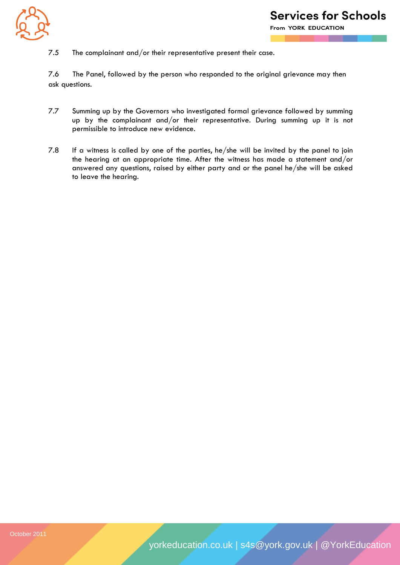![](_page_7_Picture_0.jpeg)

7.5 The complainant and/or their representative present their case.

7.6 The Panel, followed by the person who responded to the original grievance may then ask questions.

- 7.7 Summing up by the Governors who investigated formal grievance followed by summing up by the complainant and/or their representative. During summing up it is not permissible to introduce new evidence.
- 7.8 If a witness is called by one of the parties, he/she will be invited by the panel to join the hearing at an appropriate time. After the witness has made a statement and/or answered any questions, raised by either party and or the panel he/she will be asked to leave the hearing.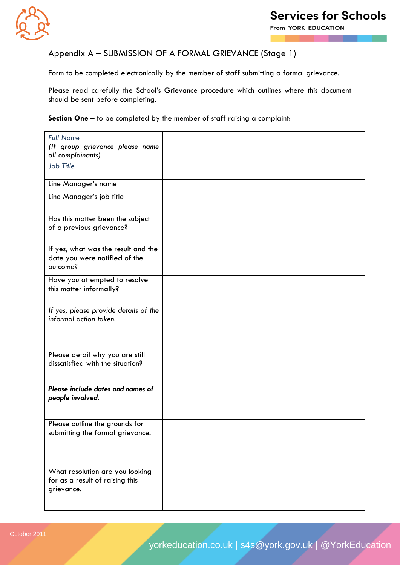![](_page_8_Picture_0.jpeg)

From YORK EDUCATION

### Appendix A – SUBMISSION OF A FORMAL GRIEVANCE (Stage 1)

Form to be completed electronically by the member of staff submitting a formal grievance.

Please read carefully the School's Grievance procedure which outlines where this document should be sent before completing.

**Section One –** to be completed by the member of staff raising a complaint:

| <b>Full Name</b><br>(If group grievance please name<br>all complainants)         |  |
|----------------------------------------------------------------------------------|--|
| Job Title                                                                        |  |
| Line Manager's name                                                              |  |
| Line Manager's job title                                                         |  |
| Has this matter been the subject<br>of a previous grievance?                     |  |
| If yes, what was the result and the<br>date you were notified of the<br>outcome? |  |
| Have you attempted to resolve<br>this matter informally?                         |  |
| If yes, please provide details of the<br>informal action taken.                  |  |
| Please detail why you are still<br>dissatisfied with the situation?              |  |
| Please include dates and names of<br>people involved.                            |  |
| Please outline the grounds for<br>submitting the formal grievance.               |  |
| What resolution are you looking<br>for as a result of raising this<br>grievance. |  |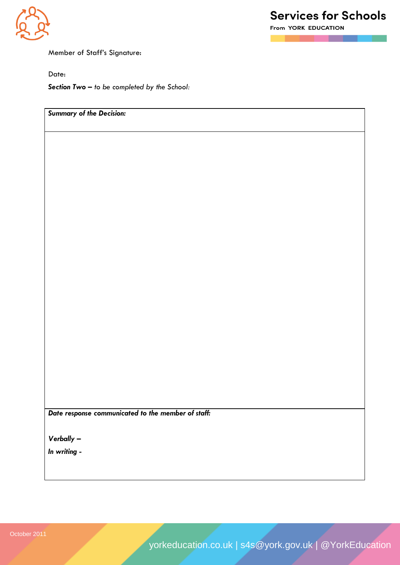![](_page_9_Picture_0.jpeg)

From YORK EDUCATION

Member of Staff's Signature:

Date:

*Section Two* **–** *to be completed by the School:*

*Summary of the Decision:*

*Date response communicated to the member of staff:*

*Verbally –*

*In writing -*

yorkeducation.co.uk | s4s@york.gov.uk | @YorkEducation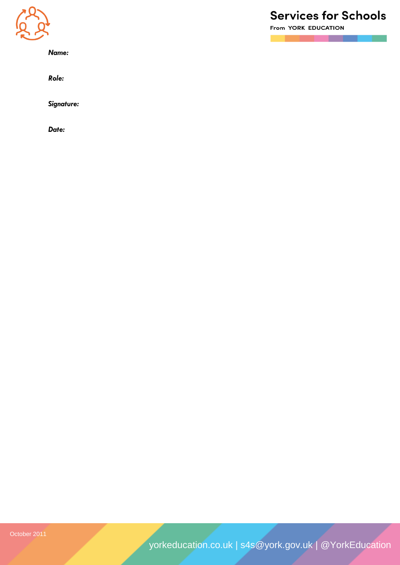![](_page_10_Picture_0.jpeg)

*Name:*

*Role:*

*Signature:*

*Date:*

# **Services for Schools**

From YORK EDUCATION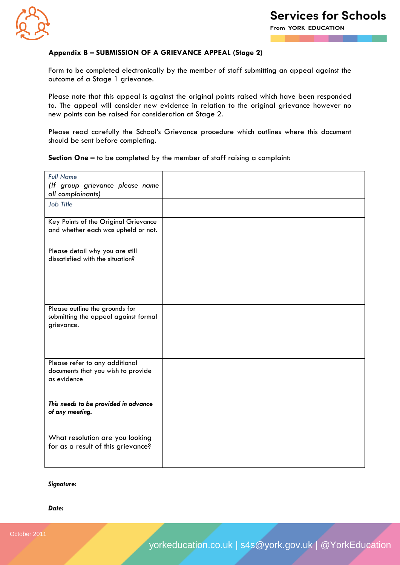![](_page_11_Picture_0.jpeg)

### **Appendix B – SUBMISSION OF A GRIEVANCE APPEAL (Stage 2)**

Form to be completed electronically by the member of staff submitting an appeal against the outcome of a Stage 1 grievance.

Please note that this appeal is against the original points raised which have been responded to. The appeal will consider new evidence in relation to the original grievance however no new points can be raised for consideration at Stage 2.

Please read carefully the School's Grievance procedure which outlines where this document should be sent before completing.

**Section One –** to be completed by the member of staff raising a complaint:

| <b>Full Name</b><br>(If group grievance please name<br>all complainants)             |  |
|--------------------------------------------------------------------------------------|--|
| Job Title                                                                            |  |
| Key Points of the Original Grievance<br>and whether each was upheld or not.          |  |
| Please detail why you are still<br>dissatisfied with the situation?                  |  |
| Please outline the grounds for<br>submitting the appeal against formal<br>grievance. |  |
| Please refer to any additional<br>documents that you wish to provide<br>as evidence  |  |
| This needs to be provided in advance<br>of any meeting.                              |  |
| What resolution are you looking<br>for as a result of this grievance?                |  |

### *Signature:*

#### *Date:*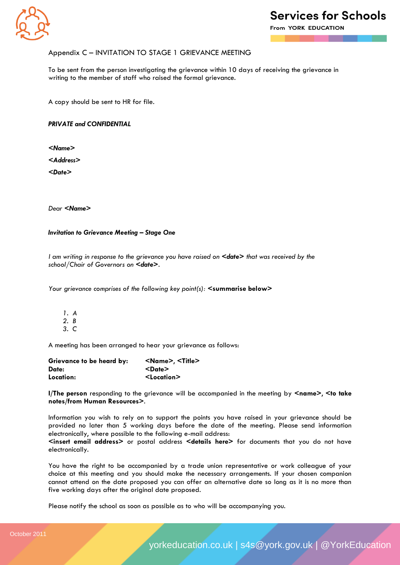![](_page_12_Picture_0.jpeg)

From YORK EDUCATION

### Appendix C – INVITATION TO STAGE 1 GRIEVANCE MEETING

To be sent from the person investigating the grievance within 10 days of receiving the grievance in writing to the member of staff who raised the formal grievance.

A copy should be sent to HR for file.

*PRIVATE and CONFIDENTIAL*

*<Name>*

*<Address>*

*<Date>*

*Dear <Name>*

*Invitation to Grievance Meeting – Stage One*

*I am writing in response to the grievance you have raised on*  $\leq$  *date> that was received by the school/Chair of Governors on <date>.*

*Your grievance comprises of the following key point(s): <***summarise below>**

*1. A 2. B*

*3. C*

A meeting has been arranged to hear your grievance as follows:

| Grievance to be heard by: | <name>, <title></title></name> |
|---------------------------|--------------------------------|
| Date:                     | <date></date>                  |
| Location:                 | $<$ Location $>$               |

**I/The person** responding to the grievance will be accompanied in the meeting by  $\leq$ name>,  $\leq$ to take **notes/from Human Resources>**.

Information you wish to rely on to support the points you have raised in your grievance should be provided no later than 5 working days before the date of the meeting. Please send information electronically, where possible to the following e-mail address:

**<insert email address>** or postal address **<details here>** for documents that you do not have electronically.

You have the right to be accompanied by a trade union representative or work colleague of your choice at this meeting and you should make the necessary arrangements. If your chosen companion cannot attend on the date proposed you can offer an alternative date so long as it is no more than five working days after the original date proposed.

Please notify the school as soon as possible as to who will be accompanying you.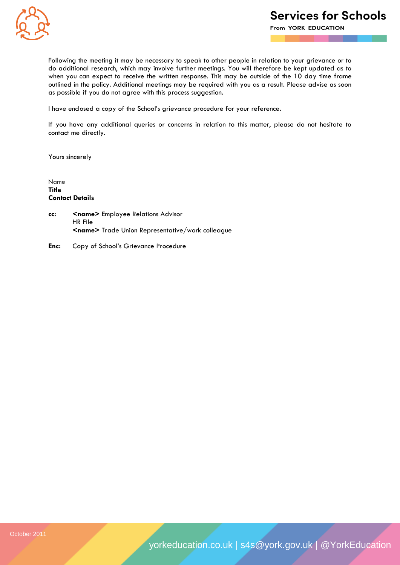![](_page_13_Picture_0.jpeg)

From YORK EDUCATION

Following the meeting it may be necessary to speak to other people in relation to your grievance or to do additional research, which may involve further meetings. You will therefore be kept updated as to when you can expect to receive the written response. This may be outside of the 10 day time frame outlined in the policy. Additional meetings may be required with you as a result. Please advise as soon as possible if you do not agree with this process suggestion.

I have enclosed a copy of the School's grievance procedure for your reference.

If you have any additional queries or concerns in relation to this matter, please do not hesitate to contact me directly.

Yours sincerely

Name **Title Contact Details**

- **cc: <name>** Employee Relations Advisor HR File **<name>** Trade Union Representative/work colleague
- **Enc:** Copy of School's Grievance Procedure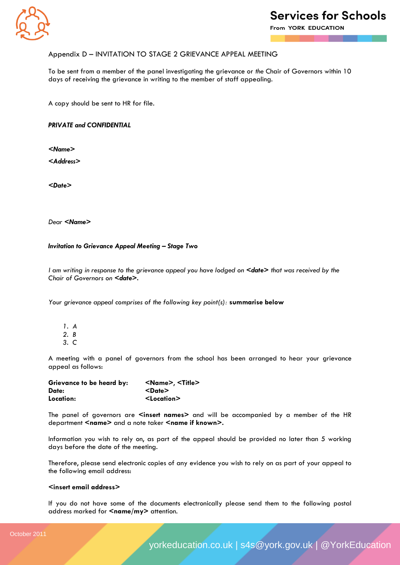![](_page_14_Picture_0.jpeg)

From YORK EDUCATION

### Appendix D – INVITATION TO STAGE 2 GRIEVANCE APPEAL MEETING

To be sent from a member of the panel investigating the grievance or *the* Chair of Governors within 10 days of receiving the grievance in writing to the member of staff appealing.

A copy should be sent to HR for file.

*PRIVATE and CONFIDENTIAL*

*<Name>*

*<Address>*

*<Date>*

*Dear <Name>*

### **Invitation to Grievance Appeal Meeting - Stage Two**

*I am writing in response to the grievance appeal you have lodged on <date> that was received by the Chair of Governors on <date>.*

*Your grievance appeal comprises of the following key point(s):* **summarise below**

- *1. A 2. B*
- *3. C*

A meeting with a panel of governors from the school has been arranged to hear your grievance appeal as follows:

| Grievance to be heard by: | <name>, <title></title></name> |
|---------------------------|--------------------------------|
| Date:                     | <date></date>                  |
| Location:                 | <location></location>          |

The panel of governors are **<insert names>** and will be accompanied by a member of the HR department <name> and a note taker <name if known>.

Information you wish to rely on, as part of the appeal should be provided no later than 5 working days before the date of the meeting.

Therefore, please send electronic copies of any evidence you wish to rely on as part of your appeal to the following email address:

#### **<insert email address>**

If you do not have some of the documents electronically please send them to the following postal address marked for **<name/my>** attention.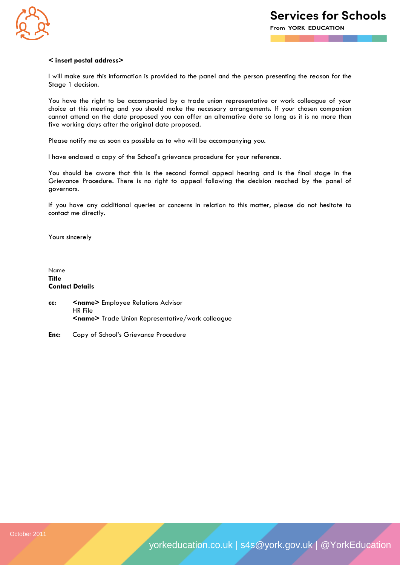![](_page_15_Picture_0.jpeg)

### **< insert postal address>**

I will make sure this information is provided to the panel and the person presenting the reason for the Stage 1 decision.

You have the right to be accompanied by a trade union representative or work colleague of your choice at this meeting and you should make the necessary arrangements. If your chosen companion cannot attend on the date proposed you can offer an alternative date so long as it is no more than five working days after the original date proposed.

Please notify me as soon as possible as to who will be accompanying you.

I have enclosed a copy of the School's grievance procedure for your reference.

You should be aware that this is the second formal appeal hearing and is the final stage in the Grievance Procedure. There is no right to appeal following the decision reached by the panel of governors.

If you have any additional queries or concerns in relation to this matter, please do not hesitate to contact me directly.

Yours sincerely

Name **Title Contact Details**

- **cc: <name>** Employee Relations Advisor HR File **<name>** Trade Union Representative/work colleague
- **Enc:** Copy of School's Grievance Procedure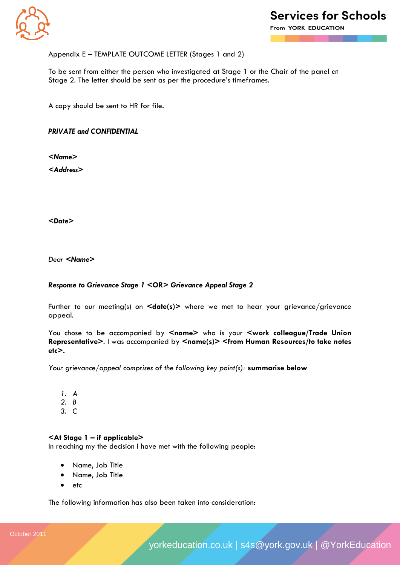![](_page_16_Picture_0.jpeg)

From YORK EDUCATION

### Appendix E – TEMPLATE OUTCOME LETTER (Stages 1 and 2)

To be sent from either the person who investigated at Stage 1 or the Chair of the panel at Stage 2. The letter should be sent as per the procedure's timeframes.

A copy should be sent to HR for file.

*PRIVATE and CONFIDENTIAL*

*<Name>*

*<Address>*

*<Date>*

*Dear <Name>*

### *Response to Grievance Stage 1 <***OR>** *Grievance Appeal Stage 2*

Further to our meeting(s) on **<date(s)>** where we met to hear your grievance/grievance appeal.

You chose to be accompanied by <name> who is your <work colleague/Trade Union **Representative>**. I was accompanied by **<name(s)> <from Human Resources/to take notes etc>.**

*Your grievance/appeal comprises of the following key point(s):* **summarise below**

- *1. A*
- *2. B*
- *3. C*

### **<At Stage 1 – if applicable>**

In reaching my the decision I have met with the following people:

- Name, Job Title
- Name, Job Title
- $e$  etc

The following information has also been taken into consideration: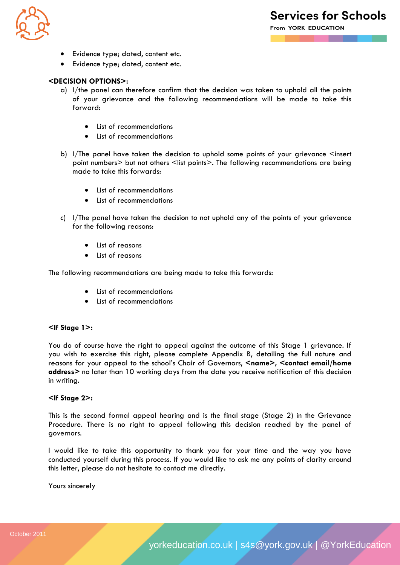![](_page_17_Picture_0.jpeg)

- Evidence type; dated, content etc.
- Evidence type; dated, content etc.

### **<DECISION OPTIONS>:**

- a) I/the panel can therefore confirm that the decision was taken to uphold all the points of your grievance and the following recommendations will be made to take this forward:
	- List of recommendations
	- List of recommendations
- b)  $1/$ The panel have taken the decision to uphold some points of your grievance  $\leq$ insert point numbers> but not others <list points>. The following recommendations are being made to take this forwards:
	- List of recommendations
	- List of recommendations
- c) I/The panel have taken the decision to not uphold any of the points of your grievance for the following reasons:
	- List of reasons
	- List of reasons

The following recommendations are being made to take this forwards:

- List of recommendations
- List of recommendations

### **<If Stage 1>:**

You do of course have the right to appeal against the outcome of this Stage 1 grievance. If you wish to exercise this right, please complete Appendix B, detailing the full nature and reasons for your appeal to the school's Chair of Governors, <name>, <contact email/home **address>** no later than 10 working days from the date you receive notification of this decision in writing.

### **<If Stage 2>:**

This is the second formal appeal hearing and is the final stage (Stage 2) in the Grievance Procedure. There is no right to appeal following this decision reached by the panel of governors.

I would like to take this opportunity to thank you for your time and the way you have conducted yourself during this process. If you would like to ask me any points of clarity around this letter, please do not hesitate to contact me directly.

Yours sincerely